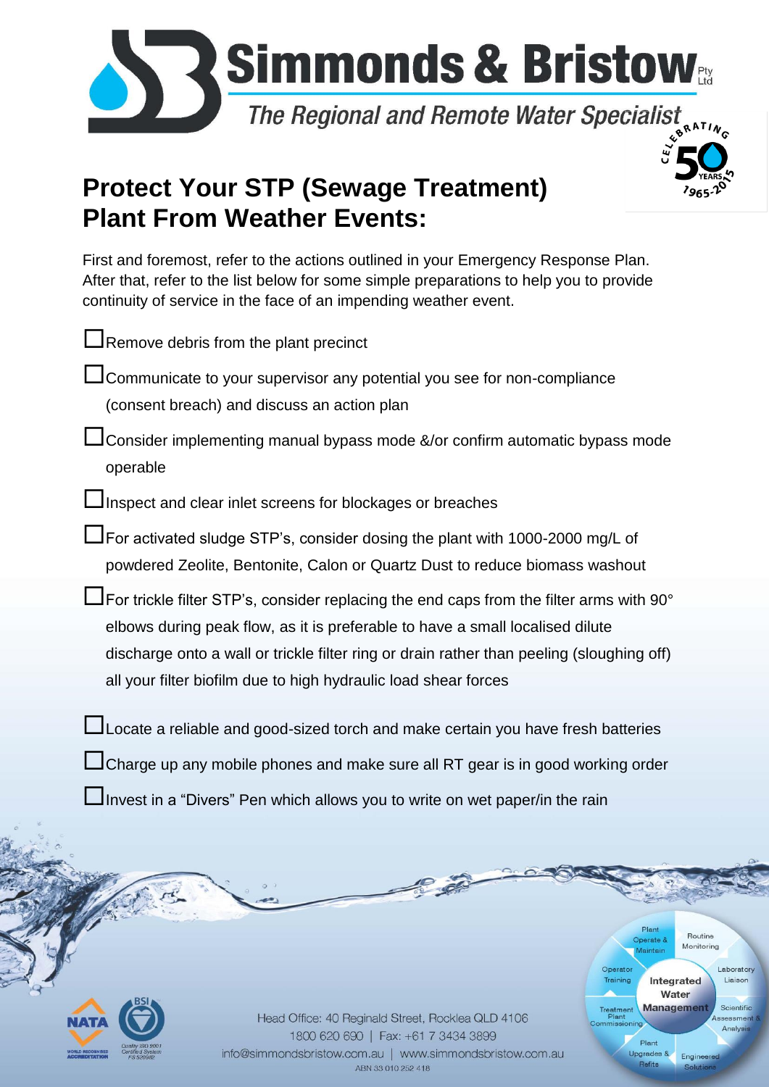

## **Protect Your STP (Sewage Treatment) Plant From Weather Events:**

First and foremost, refer to the actions outlined in your Emergency Response Plan. After that, refer to the list below for some simple preparations to help you to provide continuity of service in the face of an impending weather event.

|                                                                                                   | Remove debris from the plant precinct                                                                                                                                      |                                                                                                                                                                                                                                               |
|---------------------------------------------------------------------------------------------------|----------------------------------------------------------------------------------------------------------------------------------------------------------------------------|-----------------------------------------------------------------------------------------------------------------------------------------------------------------------------------------------------------------------------------------------|
|                                                                                                   | <b>△ Communicate to your supervisor any potential you see for non-compliance</b>                                                                                           |                                                                                                                                                                                                                                               |
|                                                                                                   | (consent breach) and discuss an action plan                                                                                                                                |                                                                                                                                                                                                                                               |
| operable                                                                                          | Consider implementing manual bypass mode &/or confirm automatic bypass mode                                                                                                |                                                                                                                                                                                                                                               |
|                                                                                                   | Inspect and clear inlet screens for blockages or breaches                                                                                                                  |                                                                                                                                                                                                                                               |
|                                                                                                   | $\Box$ For activated sludge STP's, consider dosing the plant with 1000-2000 mg/L of<br>powdered Zeolite, Bentonite, Calon or Quartz Dust to reduce biomass washout         |                                                                                                                                                                                                                                               |
|                                                                                                   | $\sf J$ For trickle filter STP's, consider replacing the end caps from the filter arms with 90°                                                                            |                                                                                                                                                                                                                                               |
|                                                                                                   | elbows during peak flow, as it is preferable to have a small localised dilute                                                                                              |                                                                                                                                                                                                                                               |
|                                                                                                   | discharge onto a wall or trickle filter ring or drain rather than peeling (sloughing off)<br>all your filter biofilm due to high hydraulic load shear forces               |                                                                                                                                                                                                                                               |
|                                                                                                   |                                                                                                                                                                            |                                                                                                                                                                                                                                               |
|                                                                                                   | Locate a reliable and good-sized torch and make certain you have fresh batteries                                                                                           |                                                                                                                                                                                                                                               |
|                                                                                                   | □Charge up any mobile phones and make sure all RT gear is in good working order                                                                                            |                                                                                                                                                                                                                                               |
|                                                                                                   | $\Box$ Invest in a "Divers" Pen which allows you to write on wet paper/in the rain                                                                                         |                                                                                                                                                                                                                                               |
|                                                                                                   |                                                                                                                                                                            |                                                                                                                                                                                                                                               |
|                                                                                                   |                                                                                                                                                                            | Plant<br>Routine<br>Operate &<br>Monitoring<br>Maintain                                                                                                                                                                                       |
| <b>Duality ISO 9001</b><br>Certified System<br>RLD RECOGNISED<br><b>CREIDITATION</b><br>FS 520982 | Head Office: 40 Reginald Street, Rocklea QLD 4106<br>1800 620 690   Fax: +61 7 3434 3899<br>info@simmondsbristow.com.au   www.simmondsbristow.com.au<br>ABN 33 010 252 418 | Operator<br>Laboratory<br>Training<br>Integrated<br>Liaison<br>Water<br><b>Management</b><br>Scientific<br>Treatment<br>Plant<br>Assessment &<br>Commissioning<br>Analysis<br>Plant<br><b>Upgrades &amp;</b><br>Engineered<br>Refits<br>Solut |